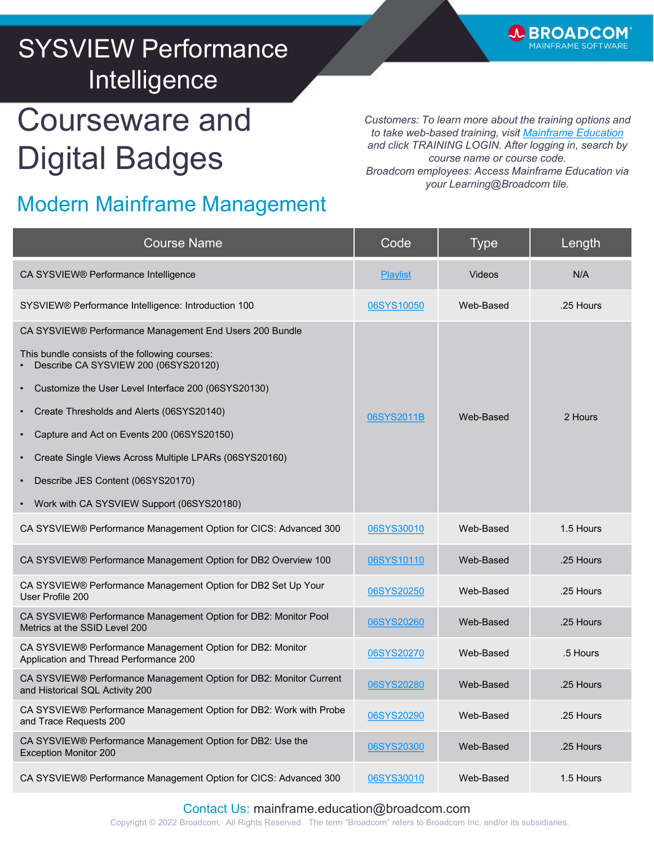

## SYSVIEW Performance Intelligence

# Courseware and Digital Badges

*Customers: To learn more about the training options and to take web-based training, visit [Mainframe Education](https://www.broadcom.com/support/education-training/specialized-training/mainframe-training) and click TRAINING LOGIN. After logging in, search by course name or course code. Broadcom employees: Access Mainframe Education via your Learning@Broadcom tile.*

#### Modern Mainframe Management

| <b>Course Name</b>                                                                                    | Code            | <b>Type</b> | Length    |
|-------------------------------------------------------------------------------------------------------|-----------------|-------------|-----------|
| CA SYSVIEW® Performance Intelligence                                                                  | <b>Playlist</b> | Videos      | N/A       |
| SYSVIEW® Performance Intelligence: Introduction 100                                                   | 06SYS10050      | Web-Based   | .25 Hours |
| CA SYSVIEW® Performance Management End Users 200 Bundle                                               |                 |             |           |
| This bundle consists of the following courses:<br>Describe CA SYSVIEW 200 (06SYS20120)                |                 |             |           |
| Customize the User Level Interface 200 (06SYS20130)                                                   |                 |             |           |
| Create Thresholds and Alerts (06SYS20140)                                                             | 06SYS2011B      | Web-Based   | 2 Hours   |
| Capture and Act on Events 200 (06SYS20150)                                                            |                 |             |           |
| Create Single Views Across Multiple LPARs (06SYS20160)                                                |                 |             |           |
| Describe JES Content (06SYS20170)                                                                     |                 |             |           |
| Work with CA SYSVIEW Support (06SYS20180)                                                             |                 |             |           |
| CA SYSVIEW® Performance Management Option for CICS: Advanced 300                                      | 06SYS30010      | Web-Based   | 1.5 Hours |
| CA SYSVIEW® Performance Management Option for DB2 Overview 100                                        | 06SYS10110      | Web-Based   | .25 Hours |
| CA SYSVIEW® Performance Management Option for DB2 Set Up Your<br>User Profile 200                     | 06SYS20250      | Web-Based   | .25 Hours |
| CA SYSVIEW® Performance Management Option for DB2: Monitor Pool<br>Metrics at the SSID Level 200      | 06SYS20260      | Web-Based   | .25 Hours |
| CA SYSVIEW® Performance Management Option for DB2: Monitor<br>Application and Thread Performance 200  | 06SYS20270      | Web-Based   | .5 Hours  |
| CA SYSVIEW® Performance Management Option for DB2: Monitor Current<br>and Historical SQL Activity 200 | 06SYS20280      | Web-Based   | .25 Hours |
| CA SYSVIEW® Performance Management Option for DB2: Work with Probe<br>and Trace Requests 200          | 06SYS20290      | Web-Based   | .25 Hours |
| CA SYSVIEW® Performance Management Option for DB2: Use the<br><b>Exception Monitor 200</b>            | 06SYS20300      | Web-Based   | .25 Hours |
| CA SYSVIEW® Performance Management Option for CICS: Advanced 300                                      | 06SYS30010      | Web-Based   | 1.5 Hours |

#### Contact Us: mainframe.education@broadcom.com

Copyright © 2022 Broadcom. All Rights Reserved. The term "Broadcom" refers to Broadcom Inc. and/or its subsidiaries.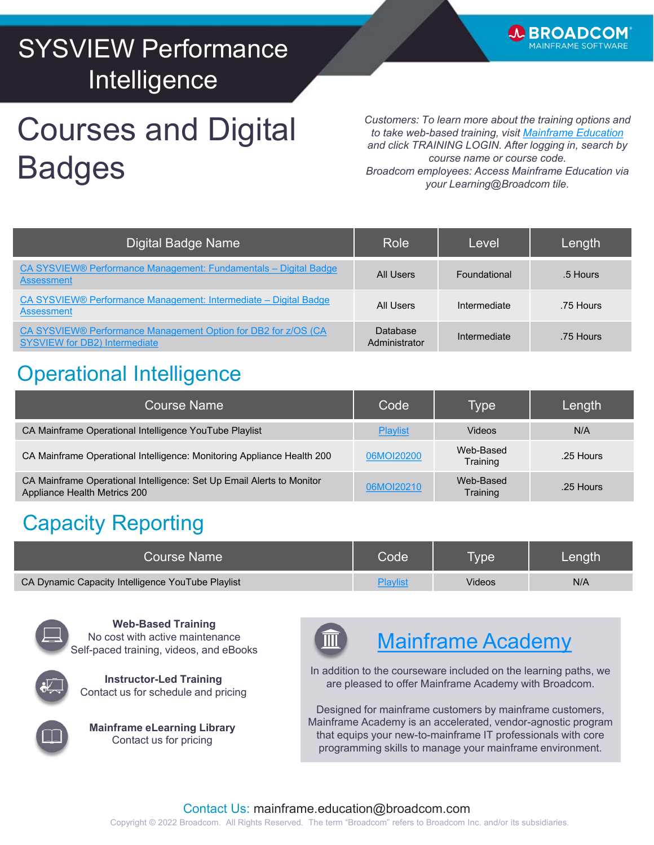## SYSVIEW Performance Intelligence

# Courses and Digital **Badges**

*Customers: To learn more about the training options and to take web-based training, visit [Mainframe Education](https://www.broadcom.com/support/education-training/specialized-training/mainframe-training) and click TRAINING LOGIN. After logging in, search by course name or course code. Broadcom employees: Access Mainframe Education via your Learning@Broadcom tile.*

**WBROADCOM IAINFRAME SOFTWARE** 

| Digital Badge Name                                                                                                 | Role'                     | Level        | Length    |
|--------------------------------------------------------------------------------------------------------------------|---------------------------|--------------|-----------|
| CA SYSVIEW® Performance Management: Fundamentals - Digital Badge<br><b>Assessment</b>                              | All Users                 | Foundational | .5 Hours  |
| CA SYSVIEW® Performance Management: Intermediate – Digital Badge<br>Assessment                                     | All Users                 | Intermediate | .75 Hours |
| CA SYSVIEW <sup>®</sup> Performance Management Option for DB2 for z/OS (CA<br><b>SYSVIEW for DB2) Intermediate</b> | Database<br>Administrator | Intermediate | .75 Hours |

### Operational Intelligence

| <b>Course Name</b>                                                                                    | Code            | Type                  | Length    |
|-------------------------------------------------------------------------------------------------------|-----------------|-----------------------|-----------|
| CA Mainframe Operational Intelligence YouTube Playlist                                                | <b>Playlist</b> | <b>Videos</b>         | N/A       |
| CA Mainframe Operational Intelligence: Monitoring Appliance Health 200                                | 06MOI20200      | Web-Based<br>Training | .25 Hours |
| CA Mainframe Operational Intelligence: Set Up Email Alerts to Monitor<br>Appliance Health Metrics 200 | 06MOI20210      | Web-Based<br>Training | .25 Hours |

### Capacity Reporting

| Course Name                                       | $\mathsf{Code}^!$ | <b>V<sub>De</sub></b> | Length, |
|---------------------------------------------------|-------------------|-----------------------|---------|
| CA Dynamic Capacity Intelligence YouTube Playlist |                   | Videos                | N/A     |



**Web-Based Training** No cost with active maintenance Self-paced training, videos, and eBooks







#### [Mainframe Academy](https://www.broadcom.com/support/education-training/specialized-training/mainframe-academy)

In addition to the courseware included on the learning paths, we are pleased to offer Mainframe Academy with Broadcom.

Designed for mainframe customers by mainframe customers, Mainframe Academy is an accelerated, vendor-agnostic program that equips your new-to-mainframe IT professionals with core programming skills to manage your mainframe environment.

#### Contact Us: mainframe.education@broadcom.com